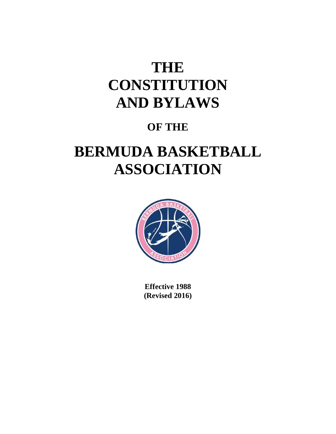# **THE CONSTITUTION AND BYLAWS**

## **OF THE**

## **BERMUDA BASKETBALL ASSOCIATION**



**Effective 1988 (Revised 2016)**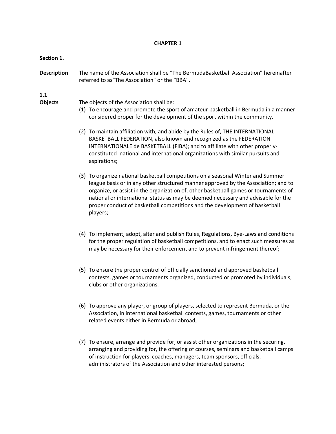#### **CHAPTER 1**

#### **Section 1.**

**Description** The name of the Association shall be "The BermudaBasketball Association" hereinafter referred to as"The Association" or the "BBA".

#### **1.1**

- **Objects** The objects of the Association shall be:
	- (1) To encourage and promote the sport of amateur basketball in Bermuda in a manner considered proper for the development of the sport within the community.
	- (2) To maintain affiliation with, and abide by the Rules of, THE INTERNATIONAL BASKETBALL FEDERATION, also known and recognized as the FEDERATION INTERNATIONALE de BASKETBALL (FIBA); and to affiliate with other properlyconstituted national and international organizations with similar pursuits and aspirations;
	- (3) To organize national basketball competitions on a seasonal Winter and Summer league basis or in any other structured manner approved by the Association; and to organize, or assist in the organization of, other basketball games or tournaments of national or international status as may be deemed necessary and advisable for the proper conduct of basketball competitions and the development of basketball players;
	- (4) To implement, adopt, alter and publish Rules, Regulations, Bye-Laws and conditions for the proper regulation of basketball competitions, and to enact such measures as may be necessary for their enforcement and to prevent infringement thereof;
	- (5) To ensure the proper control of officially sanctioned and approved basketball contests, games or tournaments organized, conducted or promoted by individuals, clubs or other organizations.
	- (6) To approve any player, or group of players, selected to represent Bermuda, or the Association, in international basketball contests, games, tournaments or other related events either in Bermuda or abroad;
	- (7) To ensure, arrange and provide for, or assist other organizations in the securing, arranging and providing for, the offering of courses, seminars and basketball camps of instruction for players, coaches, managers, team sponsors, officials, administrators of the Association and other interested persons;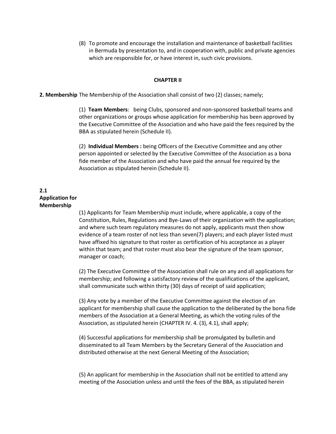(8) To promote and encourage the installation and maintenance of basketball facilities in Bermuda by presentation to, and in cooperation with, public and private agencies which are responsible for, or have interest in, such civic provisions.

#### **CHAPTER II**

#### **2. Membership** The Membership of the Association shall consist of two (2) classes; namely;

(1) **Team Members**: being Clubs, sponsored and non‐sponsored basketball teams and other organizations or groups whose application for membership has been approved by the Executive Committee of the Association and who have paid the fees required by the BBA as stipulated herein (Schedule II).

(2) **Individual Members :** being Officers of the Executive Committee and any other person appointed or selected by the Executive Committee of the Association as a bona fide member of the Association and who have paid the annual fee required by the Association as stipulated herein (Schedule II).

#### **2.1 Application for Membership**

(1) Applicants for Team Membership must include, where applicable, a copy of the Constitution, Rules, Regulations and Bye‐Laws of their organization with the application; and where such team regulatory measures do not apply, applicants must then show evidence of a team roster of not less than seven(7) players; and each player listed must have affixed his signature to that roster as certification of his acceptance as a player within that team; and that roster must also bear the signature of the team sponsor, manager or coach;

(2) The Executive Committee of the Association shall rule on any and all applications for membership; and following a satisfactory review of the qualifications of the applicant, shall communicate such within thirty (30) days of receipt of said application;

(3) Any vote by a member of the Executive Committee against the election of an applicant for membership shall cause the application to the deliberated by the bona fide members of the Association at a General Meeting, as which the voting rules of the Association, as stipulated herein (CHAPTER IV. 4. (3), 4.1), shall apply;

(4) Successful applications for membership shall be promulgated by bulletin and disseminated to all Team Members by the Secretary General of the Association and distributed otherwise at the next General Meeting of the Association;

(5) An applicant for membership in the Association shall not be entitled to attend any meeting of the Association unless and until the fees of the BBA, as stipulated herein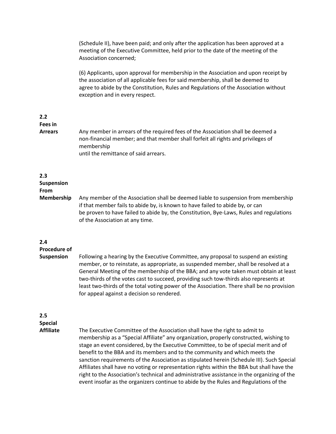(Schedule II), have been paid; and only after the application has been approved at a meeting of the Executive Committee, held prior to the date of the meeting of the Association concerned;

(6) Applicants, upon approval for membership in the Association and upon receipt by the association of all applicable fees for said membership, shall be deemed to agree to abide by the Constitution, Rules and Regulations of the Association without exception and in every respect.

### **2.2 Fees in**

**Arrears** Any member in arrears of the required fees of the Association shall be deemed a non‐financial member; and that member shall forfeit all rights and privileges of membership until the remittance of said arrears.

#### **2.3**

**Suspension**

#### **From**

**Membership** Any member of the Association shall be deemed liable to suspension from membership if that member fails to abide by, is known to have failed to abide by, or can be proven to have failed to abide by, the Constitution, Bye-Laws, Rules and regulations of the Association at any time.

#### **2.4**

**Procedure of**

- 
- **Suspension** Following a hearing by the Executive Committee, any proposal to suspend an existing member, or to reinstate, as appropriate, as suspended member, shall be resolved at a General Meeting of the membership of the BBA; and any vote taken must obtain at least two‐thirds of the votes cast to succeed, providing such tow‐thirds also represents at least two-thirds of the total voting power of the Association. There shall be no provision for appeal against a decision so rendered.

## **2.5**

**Special**

**Affiliate** The Executive Committee of the Association shall have the right to admit to membership as a "Special Affiliate" any organization, properly constructed, wishing to stage an event considered, by the Executive Committee, to be of special merit and of benefit to the BBA and its members and to the community and which meets the sanction requirements of the Association as stipulated herein (Schedule III). Such Special Affiliates shall have no voting or representation rights within the BBA but shall have the right to the Association's technical and administrative assistance in the organizing of the event insofar as the organizers continue to abide by the Rules and Regulations of the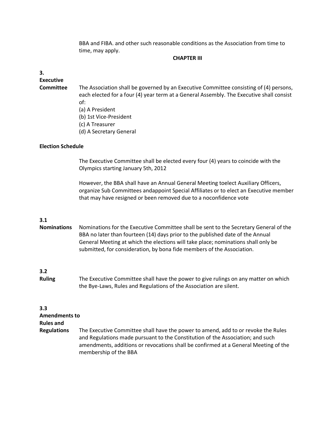BBA and FIBA. and other such reasonable conditions as the Association from time to time, may apply.

#### **CHAPTER III**

#### **3.**

**Executive**

**Committee** The Association shall be governed by an Executive Committee consisting of (4) persons, each elected for a four (4) year term at a General Assembly. The Executive shall consist of:

- (a) A President
- (b) 1st Vice‐President
- (c) A Treasurer
- (d) A Secretary General

#### **Election Schedule**

The Executive Committee shall be elected every four (4) years to coincide with the Olympics starting January 5th, 2012

However, the BBA shall have an Annual General Meeting toelect Auxiliary Officers, organize Sub Committees andappoint Special Affiliates or to elect an Executive member that may have resigned or been removed due to a noconfidence vote

#### **3.1**

**Nominations** Nominations for the Executive Committee shall be sent to the Secretary General of the BBA no later than fourteen (14) days prior to the published date of the Annual General Meeting at which the elections will take place; nominations shall only be submitted, for consideration, by bona fide members of the Association.

#### **3.2**

**Ruling** The Executive Committee shall have the power to give rulings on any matter on which the Bye‐Laws, Rules and Regulations of the Association are silent.

#### **3.3**

**Amendments to**

**Rules and**

**Regulations** The Executive Committee shall have the power to amend, add to or revoke the Rules and Regulations made pursuant to the Constitution of the Association; and such amendments, additions or revocations shall be confirmed at a General Meeting of the membership of the BBA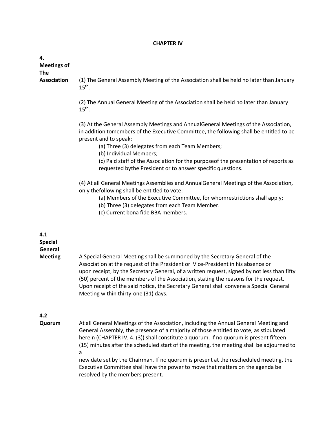#### **CHAPTER IV**

| 4.<br><b>Meetings of</b><br><b>The</b> |                                                                                                                                                                                                                                                                                                                                                                                                                                                                                                 |
|----------------------------------------|-------------------------------------------------------------------------------------------------------------------------------------------------------------------------------------------------------------------------------------------------------------------------------------------------------------------------------------------------------------------------------------------------------------------------------------------------------------------------------------------------|
| <b>Association</b>                     | (1) The General Assembly Meeting of the Association shall be held no later than January<br>$15th$ .                                                                                                                                                                                                                                                                                                                                                                                             |
|                                        | (2) The Annual General Meeting of the Association shall be held no later than January<br>$15th$ .                                                                                                                                                                                                                                                                                                                                                                                               |
|                                        | (3) At the General Assembly Meetings and AnnualGeneral Meetings of the Association,<br>in addition tomembers of the Executive Committee, the following shall be entitled to be<br>present and to speak:<br>(a) Three (3) delegates from each Team Members;<br>(b) Individual Members;                                                                                                                                                                                                           |
|                                        | (c) Paid staff of the Association for the purposeof the presentation of reports as<br>requested bythe President or to answer specific questions.                                                                                                                                                                                                                                                                                                                                                |
|                                        | (4) At all General Meetings Assemblies and AnnualGeneral Meetings of the Association,<br>only thefollowing shall be entitled to vote:<br>(a) Members of the Executive Committee, for whomrestrictions shall apply;<br>(b) Three (3) delegates from each Team Member.<br>(c) Current bona fide BBA members.                                                                                                                                                                                      |
| 4.1<br><b>Special</b><br>General       |                                                                                                                                                                                                                                                                                                                                                                                                                                                                                                 |
| <b>Meeting</b>                         | A Special General Meeting shall be summoned by the Secretary General of the<br>Association at the request of the President or Vice-President in his absence or<br>upon receipt, by the Secretary General, of a written request, signed by not less than fifty<br>(50) percent of the members of the Association, stating the reasons for the request.<br>Upon receipt of the said notice, the Secretary General shall convene a Special General<br>Meeting within thirty-one (31) days.         |
| 4.2<br>Quorum                          | At all General Meetings of the Association, including the Annual General Meeting and                                                                                                                                                                                                                                                                                                                                                                                                            |
|                                        | General Assembly, the presence of a majority of those entitled to vote, as stipulated<br>herein (CHAPTER IV, 4. (3)) shall constitute a quorum. If no quorum is present fifteen<br>(15) minutes after the scheduled start of the meeting, the meeting shall be adjourned to<br>a<br>new date set by the Chairman. If no quorum is present at the rescheduled meeting, the<br>Executive Committee shall have the power to move that matters on the agenda be<br>resolved by the members present. |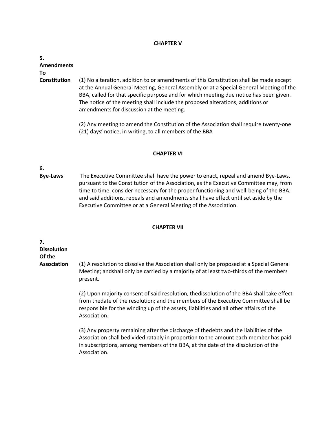#### **CHAPTER V**

| 5.                  |                                                                                                                                                                                                                                                                                                                                                                                                           |
|---------------------|-----------------------------------------------------------------------------------------------------------------------------------------------------------------------------------------------------------------------------------------------------------------------------------------------------------------------------------------------------------------------------------------------------------|
| <b>Amendments</b>   |                                                                                                                                                                                                                                                                                                                                                                                                           |
| To                  |                                                                                                                                                                                                                                                                                                                                                                                                           |
| <b>Constitution</b> | (1) No alteration, addition to or amendments of this Constitution shall be made except<br>at the Annual General Meeting, General Assembly or at a Special General Meeting of the<br>BBA, called for that specific purpose and for which meeting due notice has been given.<br>The notice of the meeting shall include the proposed alterations, additions or<br>amendments for discussion at the meeting. |
|                     | (2) Any meeting to amend the Constitution of the Association shall require twenty-one<br>(21) days' notice, in writing, to all members of the BBA                                                                                                                                                                                                                                                         |

#### **CHAPTER VI**

## **6.**

**Bye‐Laws** The Executive Committee shall have the power to enact, repeal and amend Bye‐Laws, pursuant to the Constitution of the Association, as the Executive Committee may, from time to time, consider necessary for the proper functioning and well-being of the BBA; and said additions, repeals and amendments shall have effect until set aside by the Executive Committee or at a General Meeting of the Association.

#### **CHAPTER VII**

**7. Dissolution Of the**

**Association** (1) A resolution to dissolve the Association shall only be proposed at a Special General Meeting; andshall only be carried by a majority of at least two-thirds of the members present.

> (2) Upon majority consent of said resolution, thedissolution of the BBA shall take effect from thedate of the resolution; and the members of the Executive Committee shall be responsible for the winding up of the assets, liabilities and all other affairs of the Association.

> (3) Any property remaining after the discharge of thedebts and the liabilities of the Association shall bedivided ratably in proportion to the amount each member has paid in subscriptions, among members of the BBA, at the date of the dissolution of the Association.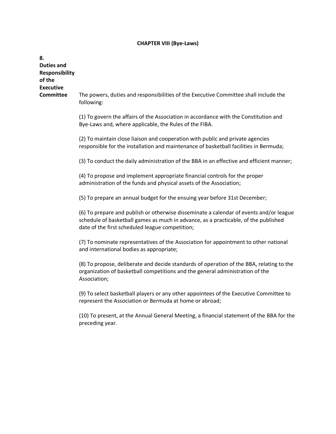#### **CHAPTER VIII (Bye‐Laws)**

**Duties and Responsibility of the Executive Committee** The powers, duties and responsibilities of the Executive Committee shall include the following: (1) To govern the affairs of the Association in accordance with the Constitution and Bye‐Laws and, where applicable, the Rules of the FIBA. (2) To maintain close liaison and cooperation with public and private agencies responsible for the installation and maintenance of basketball facilities in Bermuda; (3) To conduct the daily administration of the BBA in an effective and efficient manner; (4) To propose and implement appropriate financial controls for the proper administration of the funds and physical assets of the Association; (5) To prepare an annual budget for the ensuing year before 31st December; (6) To prepare and publish or otherwise disseminate a calendar of events and/or league schedule of basketball games as much in advance, as a practicable, of the published date of the first scheduled league competition; (7) To nominate representatives of the Association for appointment to other national and international bodies as appropriate; (8) To propose, deliberate and decide standards of operation of the BBA, relating to the organization of basketball competitions and the general administration of the Association; (9) To select basketball players or any other appointees of the Executive Committee to represent the Association or Bermuda at home or abroad; (10) To present, at the Annual General Meeting, a financial statement of the BBA for the preceding year.

**8.**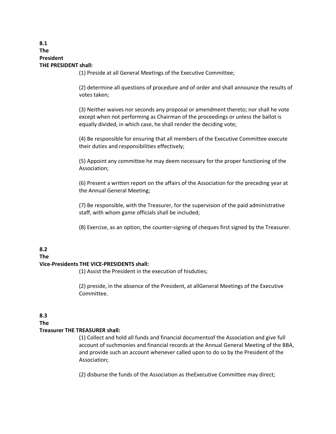#### **8.1 The President THE PRESIDENT shall:**

(1) Preside at all General Meetings of the Executive Committee;

(2) determine all questions of procedure and of order and shall announce the results of votes taken;

(3) Neither waives nor seconds any proposal or amendment thereto; nor shall he vote except when not performing as Chairman of the proceedings or unless the ballot is equally divided, in which case, he shall render the deciding vote;

(4) Be responsible for ensuring that all members of the Executive Committee execute their duties and responsibilities effectively;

(5) Appoint any committee he may deem necessary for the proper functioning of the Association;

(6) Present a written report on the affairs of the Association for the preceding year at the Annual General Meeting;

(7) Be responsible, with the Treasurer, for the supervision of the paid administrative staff, with whom game officials shall be included;

(8) Exercise, as an option, the counter‐signing of cheques first signed by the Treasurer.

## **8.2**

#### **The**

#### **Vice‐Presidents THE VICE‐PRESIDENTS shall:**

(1) Assist the President in the execution of hisduties;

(2) preside, in the absence of the President, at allGeneral Meetings of the Executive Committee.

#### **8.3**

#### **The**

#### **Treasurer THE TREASURER shall:**

(1) Collect and hold all funds and financial documentsof the Association and give full account of suchmonies and financial records at the Annual General Meeting of the BBA, and provide such an account whenever called upon to do so by the President of the Association;

(2) disburse the funds of the Association as theExecutive Committee may direct;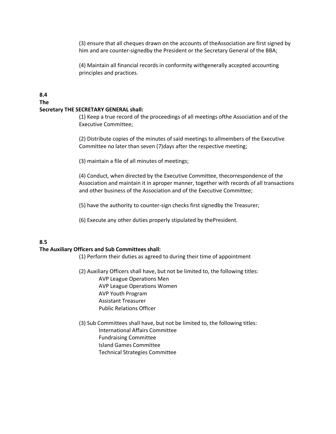(3) ensure that all cheques drawn on the accounts of theAssociation are first signed by him and are counter-signedby the President or the Secretary General of the BBA;

(4) Maintain all financial records in conformity withgenerally accepted accounting principles and practices.

#### **8.4 The Secretary THE SECRETARY GENERAL shall:**

(1) Keep a true record of the proceedings of all meetings ofthe Association and of the Executive Committee;

(2) Distribute copies of the minutes of said meetings to allmembers of the Executive Committee no later than seven (7)days after the respective meeting;

(3) maintain a file of all minutes of meetings;

(4) Conduct, when directed by the Executive Committee, thecorrespondence of the Association and maintain it in aproper manner, together with records of all transactions and other business of the Association and of the Executive Committee;

- (5) have the authority to counter‐sign checks first signedby the Treasurer;
- (6) Execute any other duties properly stipulated by thePresident.

#### **8.5**

#### **The Auxiliary Officers and Sub Committees shall:**

- (1) Perform their duties as agreed to during their time of appointment
- (2) Auxiliary Officers shall have, but not be limited to, the following titles: AVP League Operations Men AVP League Operations Women AVP Youth Program Assistant Treasurer Public Relations Officer
- (3) Sub Committees shall have, but not be limited to, the following titles: International Affairs Committee Fundraising Committee Island Games Committee Technical Strategies Committee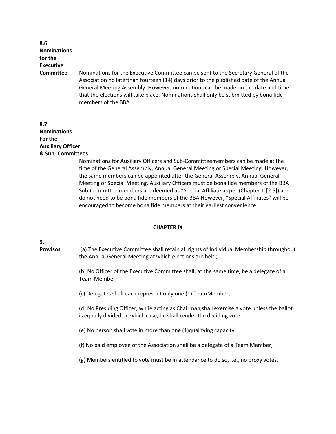| 8.6                |                                                                                                                                                                                                                                                                                                                                                                               |
|--------------------|-------------------------------------------------------------------------------------------------------------------------------------------------------------------------------------------------------------------------------------------------------------------------------------------------------------------------------------------------------------------------------|
| <b>Nominations</b> |                                                                                                                                                                                                                                                                                                                                                                               |
| for the            |                                                                                                                                                                                                                                                                                                                                                                               |
| <b>Executive</b>   |                                                                                                                                                                                                                                                                                                                                                                               |
| <b>Committee</b>   | Nominations for the Executive Committee can be sent to the Secretary General of the<br>Association no laterthan fourteen (14) days prior to the published date of the Annual<br>General Meeting Assembly. However, nominations can be made on the date and time<br>that the elections will take place. Nominations shall only be submitted by bona fide<br>members of the BBA |

#### **8.7 Nominations For the Auxiliary Officer & Sub‐ Committees**

Nominations for Auxiliary Officers and Sub‐Committeemembers can be made at the time of the General Assembly, Annual General Meeting or Special Meeting. However, the same members can be appointed after the General Assembly, Annual General Meeting or Special Meeting. Auxiliary Officers must be bona fide members of the BBA Sub‐Committee members are deemed as "Special Affiliate as per (Chapter II [2.5]) and do not need to be bona fide members of the BBA However, "Special Affiliates" will be encouraged to become bona fide members at their earliest convenience.

#### **CHAPTER IX**

#### **9.**

**Provisos** (a) The Executive Committee shall retain all rights of Individual Membership throughout the Annual General Meeting at which elections are held;

> (b) No Officer of the Executive Committee shall, at the same time, be a delegate of a Team Member;

(c) Delegates shall each represent only one (1) TeamMember;

(d) No Presiding Officer, while acting as Chairman,shall exercise a vote unless the ballot is equally divided, in which case, he shall render the deciding vote;

(e) No person shall vote in more than one (1)qualifying capacity;

(f) No paid employee of the Association shall be a delegate of a Team Member;

(g) Members entitled to vote must be in attendance to do so, i.e., no proxy votes.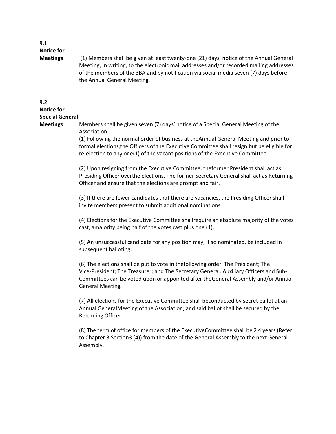#### **9.1 Notice for**

**Meetings** (1) Members shall be given at least twenty‐one (21) days' notice of the Annual General Meeting, in writing, to the electronic mail addresses and/or recorded mailing addresses of the members of the BBA and by notification via social media seven (7) days before the Annual General Meeting.

#### **9.2**

#### **Notice for Special General**

**Meetings** Members shall be given seven (7) days' notice of a Special General Meeting of the Association.

> (1) Following the normal order of business at theAnnual General Meeting and prior to formal elections,the Officers of the Executive Committee shall resign but be eligible for re-election to any one(1) of the vacant positions of the Executive Committee.

> (2) Upon resigning from the Executive Committee, theformer President shall act as Presiding Officer overthe elections. The former Secretary General shall act as Returning Officer and ensure that the elections are prompt and fair.

(3) If there are fewer candidates that there are vacancies, the Presiding Officer shall invite members present to submit additional nominations.

(4) Elections for the Executive Committee shallrequire an absolute majority of the votes cast, amajority being half of the votes cast plus one (1).

(5) An unsuccessful candidate for any position may, if so nominated, be included in subsequent balloting.

(6) The elections shall be put to vote in thefollowing order: The President; The Vice‐President; The Treasurer; and The Secretary General. Auxiliary Officers and Sub‐ Committees can be voted upon or appointed after theGeneral Assembly and/or Annual General Meeting.

(7) All elections for the Executive Committee shall beconducted by secret ballot at an Annual GeneralMeeting of the Association; and said ballot shall be secured by the Returning Officer.

(8) The term of office for members of the ExecutiveCommittee shall be 2 4 years (Refer to Chapter 3 Section3 (4)) from the date of the General Assembly to the next General Assembly.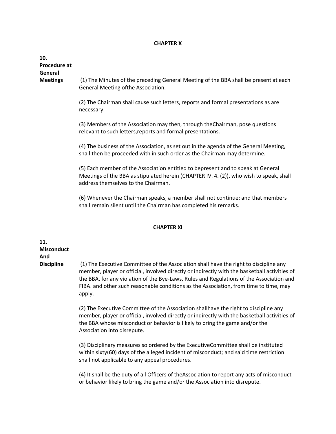#### **CHAPTER X**

| 10.<br>Procedure at<br>General |                                                                                                                                                                                                                    |
|--------------------------------|--------------------------------------------------------------------------------------------------------------------------------------------------------------------------------------------------------------------|
| <b>Meetings</b>                | (1) The Minutes of the preceding General Meeting of the BBA shall be present at each<br>General Meeting ofthe Association.                                                                                         |
|                                | (2) The Chairman shall cause such letters, reports and formal presentations as are<br>necessary.                                                                                                                   |
|                                | (3) Members of the Association may then, through the Chairman, pose questions<br>relevant to such letters, reports and formal presentations.                                                                       |
|                                | (4) The business of the Association, as set out in the agenda of the General Meeting,<br>shall then be proceeded with in such order as the Chairman may determine.                                                 |
|                                | (5) Each member of the Association entitled to bepresent and to speak at General<br>Meetings of the BBA as stipulated herein (CHAPTER IV. 4. (2)), who wish to speak, shall<br>address themselves to the Chairman. |
|                                | (6) Whenever the Chairman speaks, a member shall not continue; and that members<br>shall remain silent until the Chairman has completed his remarks.                                                               |

#### **CHAPTER XI**

## **11. Misconduct And**

**Discipline** (1) The Executive Committee of the Association shall have the right to discipline any member, player or official, involved directly or indirectly with the basketball activities of the BBA, for any violation of the Bye‐Laws, Rules and Regulations of the Association and FIBA. and other such reasonable conditions as the Association, from time to time, may apply.

> (2) The Executive Committee of the Association shallhave the right to discipline any member, player or official, involved directly or indirectly with the basketball activities of the BBA whose misconduct or behavior is likely to bring the game and/or the Association into disrepute.

(3) Disciplinary measures so ordered by the ExecutiveCommittee shall be instituted within sixty(60) days of the alleged incident of misconduct; and said time restriction shall not applicable to any appeal procedures.

(4) It shall be the duty of all Officers of theAssociation to report any acts of misconduct or behavior likely to bring the game and/or the Association into disrepute.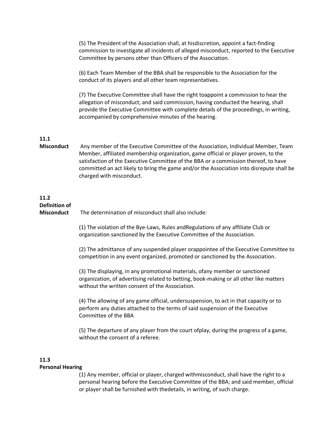(5) The President of the Association shall, at hisdiscretion, appoint a fact‐finding commission to investigate all incidents of alleged misconduct, reported to the Executive Committee by persons other than Officers of the Association.

(6) Each Team Member of the BBA shall be responsible to the Association for the conduct of its players and all other team representatives.

(7) The Executive Committee shall have the right toappoint a commission to hear the allegation of misconduct; and said commission, having conducted the hearing, shall provide the Executive Committee with complete details of the proceedings, in writing, accompanied by comprehensive minutes of the hearing.

#### **11.1**

**Misconduct** Any member of the Executive Committee of the Association, Individual Member, Team Member, affiliated membership organization, game official or player proven, to the satisfaction of the Executive Committee of the BBA or a commission thereof, to have committed an act likely to bring the game and/or the Association into disrepute shall be charged with misconduct.

#### **11.2 Definition of**

**Misconduct** The determination of misconduct shall also include:

(1) The violation of the Bye‐Laws, Rules andRegulations of any affiliate Club or organization sanctioned by the Executive Committee of the Association.

(2) The admittance of any suspended player orappointee of the Executive Committee to competition in any event organized, promoted or sanctioned by the Association.

(3) The displaying, in any promotional materials, ofany member or sanctioned organization, of advertising related to betting, book‐making or all other like matters without the written consent of the Association.

(4) The allowing of any game official, undersuspension, to act in that capacity or to perform any duties attached to the terms of said suspension of the Executive Committee of the BBA

(5) The departure of any player from the court ofplay, during the progress of a game, without the consent of a referee.

#### **11.3**

#### **Personal Hearing**

(1) Any member, official or player, charged withmisconduct, shall have the right to a personal hearing before the Executive Committee of the BBA; and said member, official or player shall be furnished with thedetails, in writing, of such charge.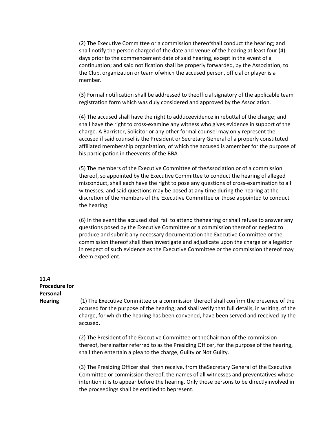(2) The Executive Committee or a commission thereofshall conduct the hearing; and shall notify the person charged of the date and venue of the hearing at least four (4) days prior to the commencement date of said hearing, except in the event of a continuation; and said notification shall be properly forwarded, by the Association, to the Club, organization or team ofwhich the accused person, official or player is a member.

(3) Formal notification shall be addressed to theofficial signatory of the applicable team registration form which was duly considered and approved by the Association.

(4) The accused shall have the right to adduceevidence in rebuttal of the charge; and shall have the right to cross‐examine any witness who gives evidence in support of the charge. A Barrister, Solicitor or any other formal counsel may only represent the accused if said counsel is the President or Secretary General of a properly constituted affiliated membership organization, of which the accused is amember for the purpose of his participation in theevents of the BBA

(5) The members of the Executive Committee of theAssociation or of a commission thereof, so appointed by the Executive Committee to conduct the hearing of alleged misconduct, shall each have the right to pose any questions of cross‐examination to all witnesses; and said questions may be posed at any time during the hearing at the discretion of the members of the Executive Committee or those appointed to conduct the hearing.

(6) In the event the accused shall fail to attend thehearing or shall refuse to answer any questions posed by the Executive Committee or a commission thereof or neglect to produce and submit any necessary documentation the Executive Committee or the commission thereof shall then investigate and adjudicate upon the charge or allegation in respect of such evidence as the Executive Committee or the commission thereof may deem expedient.

### **11.4 Procedure for Personal**

**Hearing** (1) The Executive Committee or a commission thereof shall confirm the presence of the accused for the purpose of the hearing; and shall verify that full details, in writing, of the charge, for which the hearing has been convened, have been served and received by the accused.

> (2) The President of the Executive Committee or theChairman of the commission thereof, hereinafter referred to as the Presiding Officer, for the purpose of the hearing, shall then entertain a plea to the charge, Guilty or Not Guilty.

> (3) The Presiding Officer shall then receive, from theSecretary General of the Executive Committee or commission thereof, the names of all witnesses and preventatives whose intention it is to appear before the hearing. Only those persons to be directlyinvolved in the proceedings shall be entitled to bepresent.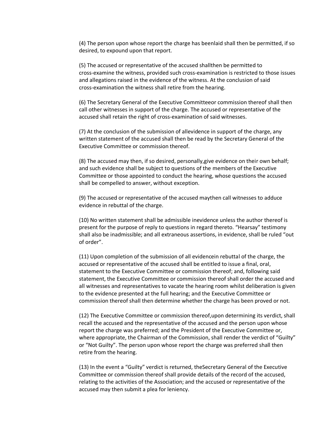(4) The person upon whose report the charge has beenlaid shall then be permitted, if so desired, to expound upon that report.

(5) The accused or representative of the accused shallthen be permitted to cross‐examine the witness, provided such cross‐examination is restricted to those issues and allegations raised in the evidence of the witness. At the conclusion of said cross‐examination the witness shall retire from the hearing.

(6) The Secretary General of the Executive Committeeor commission thereof shall then call other witnesses in support of the charge. The accused or representative of the accused shall retain the right of cross‐examination of said witnesses.

(7) At the conclusion of the submission of allevidence in support of the charge, any written statement of the accused shall then be read by the Secretary General of the Executive Committee or commission thereof.

(8) The accused may then, if so desired, personally,give evidence on their own behalf; and such evidence shall be subject to questions of the members of the Executive Committee or those appointed to conduct the hearing, whose questions the accused shall be compelled to answer, without exception.

(9) The accused or representative of the accused maythen call witnesses to adduce evidence in rebuttal of the charge.

(10) No written statement shall be admissible inevidence unless the author thereof is present for the purpose of reply to questions in regard thereto. "Hearsay" testimony shall also be inadmissible; and all extraneous assertions, in evidence, shall be ruled "out of order".

(11) Upon completion of the submission of all evidencein rebuttal of the charge, the accused or representative of the accused shall be entitled to issue a final, oral, statement to the Executive Committee or commission thereof; and, following said statement, the Executive Committee or commission thereof shall order the accused and all witnesses and representatives to vacate the hearing room whilst deliberation is given to the evidence presented at the full hearing; and the Executive Committee or commission thereof shall then determine whether the charge has been proved or not.

(12) The Executive Committee or commission thereof,upon determining its verdict, shall recall the accused and the representative of the accused and the person upon whose report the charge was preferred; and the President of the Executive Committee or, where appropriate, the Chairman of the Commission, shall render the verdict of "Guilty" or "Not Guilty". The person upon whose report the charge was preferred shall then retire from the hearing.

(13) In the event a "Guilty" verdict is returned, theSecretary General of the Executive Committee or commission thereof shall provide details of the record of the accused, relating to the activities of the Association; and the accused or representative of the accused may then submit a plea for leniency.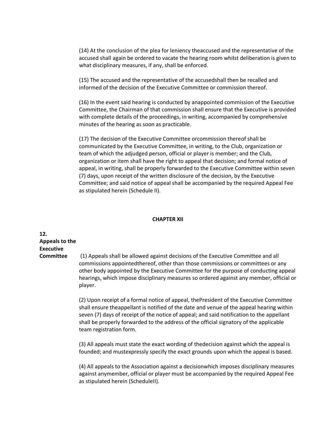(14) At the conclusion of the plea for leniency theaccused and the representative of the accused shall again be ordered to vacate the hearing room whilst deliberation is given to what disciplinary measures, if any, shall be enforced.

(15) The accused and the representative of the accusedshall then be recalled and informed of the decision of the Executive Committee or commission thereof.

(16) In the event said hearing is conducted by anappointed commission of the Executive Committee, the Chairman of that commission shall ensure that the Executive is provided with complete details of the proceedings, in writing, accompanied by comprehensive minutes of the hearing as soon as practicable.

(17) The decision of the Executive Committee orcommission thereof shall be communicated by the Executive Committee, in writing, to the Club, organization or team of which the adjudged person, official or player is member; and the Club, organization or item shall have the right to appeal that decision; and formal notice of appeal, in writing, shall be properly forwarded to the Executive Committee within seven (7) days, upon receipt of the written disclosure of the decision, by the Executive Committee; and said notice of appeal shall be accompanied by the required Appeal Fee as stipulated herein (Schedule II).

#### **CHAPTER XII**

## **12. Appeals to the Executive**

**Committee** (1) Appeals shall be allowed against decisions of the Executive Committee and all commissions appointedthereof, other than those commissions or committees or any other body appointed by the Executive Committee for the purpose of conducting appeal hearings, which impose disciplinary measures so ordered against any member, official or player.

> (2) Upon receipt of a formal notice of appeal, thePresident of the Executive Committee shall ensure theappellant is notified of the date and venue of the appeal hearing within seven (7) days of receipt of the notice of appeal; and said notification to the appellant shall be properly forwarded to the address of the official signatory of the applicable team registration form.

> (3) All appeals must state the exact wording of thedecision against which the appeal is founded; and mustexpressly specify the exact grounds upon which the appeal is based.

> (4) All appeals to the Association against a decisionwhich imposes disciplinary measures against anymember, official or player must be accompanied by the required Appeal Fee as stipulated herein (ScheduleII).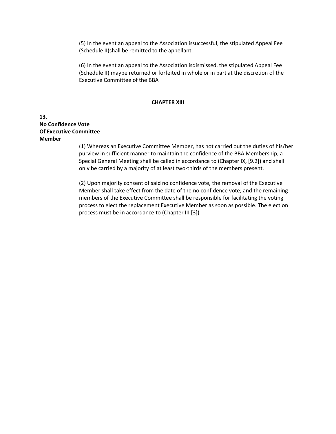(5) In the event an appeal to the Association issuccessful, the stipulated Appeal Fee (Schedule II)shall be remitted to the appellant.

(6) In the event an appeal to the Association isdismissed, the stipulated Appeal Fee (Schedule II) maybe returned or forfeited in whole or in part at the discretion of the Executive Committee of the BBA

#### **CHAPTER XIII**

#### **13. No Confidence Vote Of Executive Committee Member**

(1) Whereas an Executive Committee Member, has not carried out the duties of his/her purview in sufficient manner to maintain the confidence of the BBA Membership, a Special General Meeting shall be called in accordance to (Chapter IX, [9.2]) and shall only be carried by a majority of at least two-thirds of the members present.

(2) Upon majority consent of said no confidence vote, the removal of the Executive Member shall take effect from the date of the no confidence vote; and the remaining members of the Executive Committee shall be responsible for facilitating the voting process to elect the replacement Executive Member as soon as possible. The election process must be in accordance to (Chapter III [3])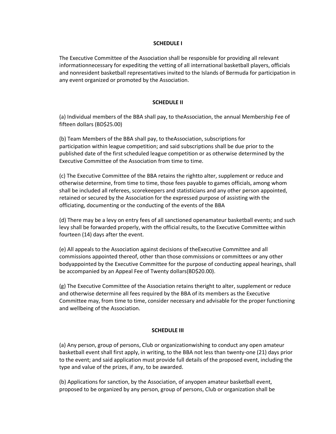#### **SCHEDULE I**

The Executive Committee of the Association shall be responsible for providing all relevant informationnecessary for expediting the vetting of all international basketball players, officials and nonresident basketball representatives invited to the Islands of Bermuda for participation in any event organized or promoted by the Association.

#### **SCHEDULE II**

(a) Individual members of the BBA shall pay, to theAssociation, the annual Membership Fee of fifteen dollars (BD\$25.00)

(b) Team Members of the BBA shall pay, to theAssociation, subscriptions for participation within league competition; and said subscriptions shall be due prior to the published date of the first scheduled league competition or as otherwise determined by the Executive Committee of the Association from time to time.

(c) The Executive Committee of the BBA retains the rightto alter, supplement or reduce and otherwise determine, from time to time, those fees payable to games officials, among whom shall be included all referees, scorekeepers and statisticians and any other person appointed, retained or secured by the Association for the expressed purpose of assisting with the officiating, documenting or the conducting of the events of the BBA

(d) There may be a levy on entry fees of all sanctioned openamateur basketball events; and such levy shall be forwarded properly, with the official results, to the Executive Committee within fourteen (14) days after the event.

(e) All appeals to the Association against decisions of theExecutive Committee and all commissions appointed thereof, other than those commissions or committees or any other bodyappointed by the Executive Committee for the purpose of conducting appeal hearings, shall be accompanied by an Appeal Fee of Twenty dollars(BD\$20.00).

(g) The Executive Committee of the Association retains theright to alter, supplement or reduce and otherwise determine all fees required by the BBA of its members as the Executive Committee may, from time to time, consider necessary and advisable for the proper functioning and wellbeing of the Association.

#### **SCHEDULE III**

(a) Any person, group of persons, Club or organizationwishing to conduct any open amateur basketball event shall first apply, in writing, to the BBA not less than twenty-one (21) days prior to the event; and said application must provide full details of the proposed event, including the type and value of the prizes, if any, to be awarded.

(b) Applications for sanction, by the Association, of anyopen amateur basketball event, proposed to be organized by any person, group of persons, Club or organization shall be